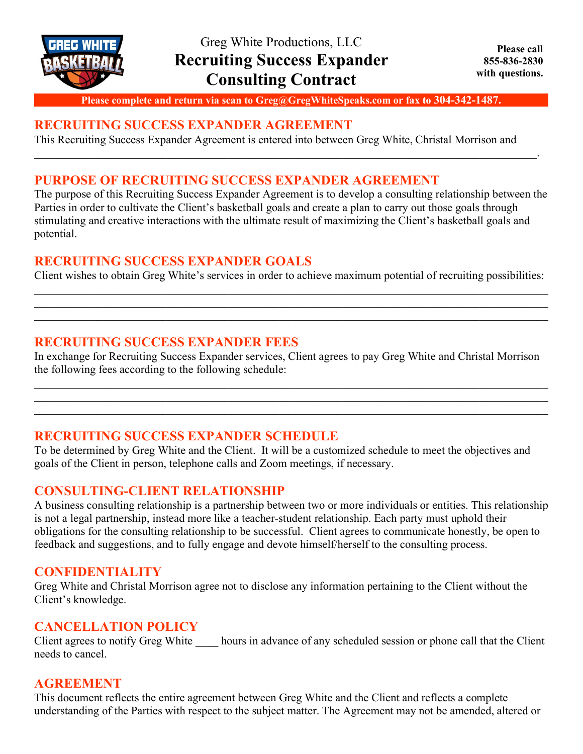

**Please complete and return via scan to Greg@GregWhiteSpeaks.com or fax to 304-342-1487.**

\_\_\_\_\_\_\_\_\_\_\_\_\_\_\_\_\_\_\_\_\_\_\_\_\_\_\_\_\_\_\_\_\_\_\_\_\_\_\_\_\_\_\_\_\_\_\_\_\_\_\_\_\_\_\_\_\_\_\_\_\_\_\_\_\_\_\_\_\_\_\_\_\_\_\_\_\_\_\_\_\_\_\_\_\_\_\_\_.

### **RECRUITING SUCCESS EXPANDER AGREEMENT**

This Recruiting Success Expander Agreement is entered into between Greg White, Christal Morrison and

## **PURPOSE OF RECRUITING SUCCESS EXPANDER AGREEMENT**

The purpose of this Recruiting Success Expander Agreement is to develop a consulting relationship between the Parties in order to cultivate the Client's basketball goals and create a plan to carry out those goals through stimulating and creative interactions with the ultimate result of maximizing the Client's basketball goals and potential.

## **RECRUITING SUCCESS EXPANDER GOALS**

Client wishes to obtain Greg White's services in order to achieve maximum potential of recruiting possibilities:  $\mathcal{L}_\mathcal{L} = \mathcal{L}_\mathcal{L} = \mathcal{L}_\mathcal{L} = \mathcal{L}_\mathcal{L} = \mathcal{L}_\mathcal{L} = \mathcal{L}_\mathcal{L} = \mathcal{L}_\mathcal{L} = \mathcal{L}_\mathcal{L} = \mathcal{L}_\mathcal{L} = \mathcal{L}_\mathcal{L} = \mathcal{L}_\mathcal{L} = \mathcal{L}_\mathcal{L} = \mathcal{L}_\mathcal{L} = \mathcal{L}_\mathcal{L} = \mathcal{L}_\mathcal{L} = \mathcal{L}_\mathcal{L} = \mathcal{L}_\mathcal{L}$ 

 $\mathcal{L}_\mathcal{L} = \{ \mathcal{L}_\mathcal{L} = \{ \mathcal{L}_\mathcal{L} = \{ \mathcal{L}_\mathcal{L} = \{ \mathcal{L}_\mathcal{L} = \{ \mathcal{L}_\mathcal{L} = \{ \mathcal{L}_\mathcal{L} = \{ \mathcal{L}_\mathcal{L} = \{ \mathcal{L}_\mathcal{L} = \{ \mathcal{L}_\mathcal{L} = \{ \mathcal{L}_\mathcal{L} = \{ \mathcal{L}_\mathcal{L} = \{ \mathcal{L}_\mathcal{L} = \{ \mathcal{L}_\mathcal{L} = \{ \mathcal{L}_\mathcal{$ 

## **RECRUITING SUCCESS EXPANDER FEES**

In exchange for Recruiting Success Expander services, Client agrees to pay Greg White and Christal Morrison the following fees according to the following schedule:

 $\mathcal{L}_\mathcal{L} = \{ \mathcal{L}_\mathcal{L} = \{ \mathcal{L}_\mathcal{L} = \{ \mathcal{L}_\mathcal{L} = \{ \mathcal{L}_\mathcal{L} = \{ \mathcal{L}_\mathcal{L} = \{ \mathcal{L}_\mathcal{L} = \{ \mathcal{L}_\mathcal{L} = \{ \mathcal{L}_\mathcal{L} = \{ \mathcal{L}_\mathcal{L} = \{ \mathcal{L}_\mathcal{L} = \{ \mathcal{L}_\mathcal{L} = \{ \mathcal{L}_\mathcal{L} = \{ \mathcal{L}_\mathcal{L} = \{ \mathcal{L}_\mathcal{$  $\mathcal{L}_\mathcal{L} = \{ \mathcal{L}_\mathcal{L} = \{ \mathcal{L}_\mathcal{L} = \{ \mathcal{L}_\mathcal{L} = \{ \mathcal{L}_\mathcal{L} = \{ \mathcal{L}_\mathcal{L} = \{ \mathcal{L}_\mathcal{L} = \{ \mathcal{L}_\mathcal{L} = \{ \mathcal{L}_\mathcal{L} = \{ \mathcal{L}_\mathcal{L} = \{ \mathcal{L}_\mathcal{L} = \{ \mathcal{L}_\mathcal{L} = \{ \mathcal{L}_\mathcal{L} = \{ \mathcal{L}_\mathcal{L} = \{ \mathcal{L}_\mathcal{$  $\mathcal{L}_\mathcal{L} = \{ \mathcal{L}_\mathcal{L} = \{ \mathcal{L}_\mathcal{L} = \{ \mathcal{L}_\mathcal{L} = \{ \mathcal{L}_\mathcal{L} = \{ \mathcal{L}_\mathcal{L} = \{ \mathcal{L}_\mathcal{L} = \{ \mathcal{L}_\mathcal{L} = \{ \mathcal{L}_\mathcal{L} = \{ \mathcal{L}_\mathcal{L} = \{ \mathcal{L}_\mathcal{L} = \{ \mathcal{L}_\mathcal{L} = \{ \mathcal{L}_\mathcal{L} = \{ \mathcal{L}_\mathcal{L} = \{ \mathcal{L}_\mathcal{$ 

# **RECRUITING SUCCESS EXPANDER SCHEDULE**

To be determined by Greg White and the Client. It will be a customized schedule to meet the objectives and goals of the Client in person, telephone calls and Zoom meetings, if necessary.

### **CONSULTING-CLIENT RELATIONSHIP**

A business consulting relationship is a partnership between two or more individuals or entities. This relationship is not a legal partnership, instead more like a teacher-student relationship. Each party must uphold their obligations for the consulting relationship to be successful. Client agrees to communicate honestly, be open to feedback and suggestions, and to fully engage and devote himself/herself to the consulting process.

### **CONFIDENTIALITY**

Greg White and Christal Morrison agree not to disclose any information pertaining to the Client without the Client's knowledge.

# **CANCELLATION POLICY**

Client agrees to notify Greg White hours in advance of any scheduled session or phone call that the Client needs to cancel.

# **AGREEMENT**

This document reflects the entire agreement between Greg White and the Client and reflects a complete understanding of the Parties with respect to the subject matter. The Agreement may not be amended, altered or